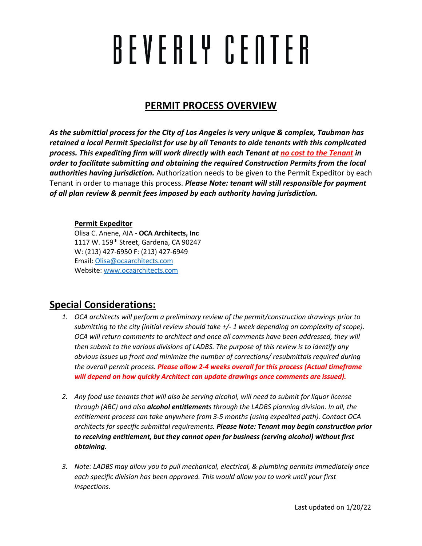# BEVERLY CENTER

# **PERMIT PROCESS OVERVIEW**

*As the submittial process for the City of Los Angeles is very unique & complex, Taubman has retained a local Permit Specialist for use by all Tenants to aide tenants with this complicated process. This expediting firm will work directly with each Tenant at no cost to the Tenant in order to facilitate submitting and obtaining the required Construction Permits from the local authorities having jurisdiction.* Authorization needs to be given to the Permit Expeditor by each Tenant in order to manage this process. *Please Note: tenant will still responsible for payment of all plan review & permit fees imposed by each authority having jurisdiction.*

#### **Permit Expeditor**

Olisa C. Anene, AIA - **OCA Architects, Inc** 1117 W. 159<sup>th</sup> Street, Gardena, CA 90247 W: (213) 427-6950 F: (213) 427-6949 Email: [Olisa@ocaarchitects.com](mailto:Olisa@ocaarchitects.com) Website[: www.ocaarchitects.com](http://www.ocaarchitects.com/)

## **Special Considerations:**

- *1. OCA architects will perform a preliminary review of the permit/construction drawings prior to submitting to the city (initial review should take +/- 1 week depending on complexity of scope). OCA will return comments to architect and once all comments have been addressed, they will then submit to the various divisions of LADBS. The purpose of this review is to identify any obvious issues up front and minimize the number of corrections/ resubmittals required during the overall permit process. Please allow 2-4 weeks overall for this process (Actual timeframe will depend on how quickly Architect can update drawings once comments are issued).*
- *2. Any food use tenants that will also be serving alcohol, will need to submit for liquor license through (ABC) and also alcohol entitlements through the LADBS planning division. In all, the entitlement process can take anywhere from 3-5 months (using expedited path). Contact OCA architects for specific submittal requirements. Please Note: Tenant may begin construction prior to receiving entitlement, but they cannot open for business (serving alcohol) without first obtaining.*
- *3. Note: LADBS may allow you to pull mechanical, electrical, & plumbing permits immediately once each specific division has been approved. This would allow you to work until your first inspections.*